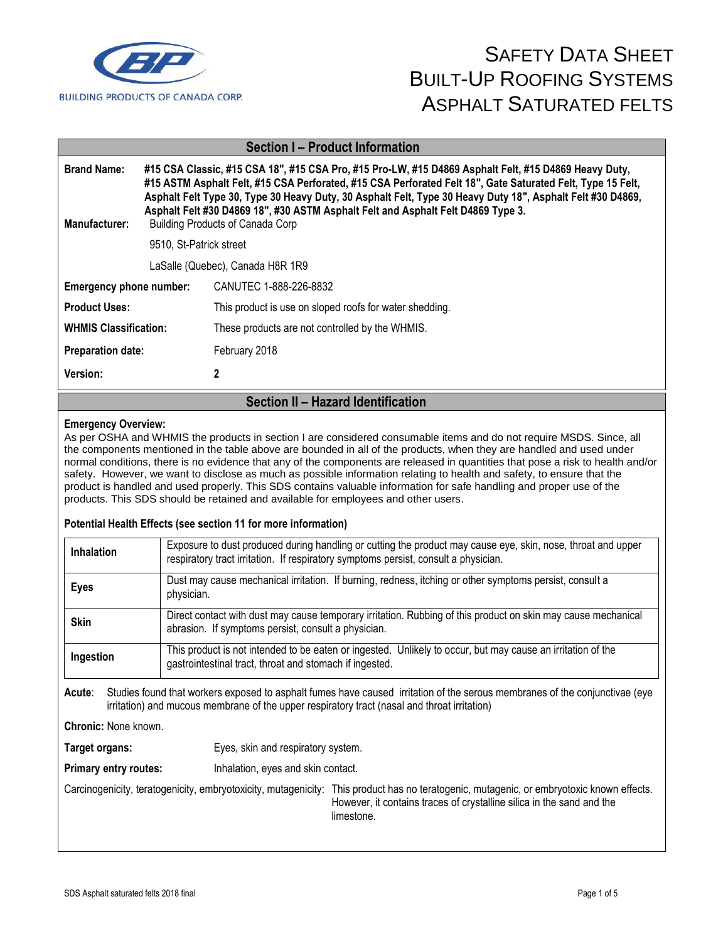

| <b>Section I-Product Information</b>                     |                                                                                                                                                                                                                                                                                                                                                                                                                                                                 |                                                         |  |
|----------------------------------------------------------|-----------------------------------------------------------------------------------------------------------------------------------------------------------------------------------------------------------------------------------------------------------------------------------------------------------------------------------------------------------------------------------------------------------------------------------------------------------------|---------------------------------------------------------|--|
| <b>Brand Name:</b><br>Manufacturer:                      | #15 CSA Classic, #15 CSA 18", #15 CSA Pro, #15 Pro-LW, #15 D4869 Asphalt Felt, #15 D4869 Heavy Duty,<br>#15 ASTM Asphalt Felt, #15 CSA Perforated, #15 CSA Perforated Felt 18", Gate Saturated Felt, Type 15 Felt,<br>Asphalt Felt Type 30, Type 30 Heavy Duty, 30 Asphalt Felt, Type 30 Heavy Duty 18", Asphalt Felt #30 D4869,<br>Asphalt Felt #30 D4869 18", #30 ASTM Asphalt Felt and Asphalt Felt D4869 Type 3.<br><b>Building Products of Canada Corp</b> |                                                         |  |
|                                                          | 9510. St-Patrick street                                                                                                                                                                                                                                                                                                                                                                                                                                         |                                                         |  |
| LaSalle (Quebec), Canada H8R 1R9                         |                                                                                                                                                                                                                                                                                                                                                                                                                                                                 |                                                         |  |
| CANUTEC 1-888-226-8832<br><b>Emergency phone number:</b> |                                                                                                                                                                                                                                                                                                                                                                                                                                                                 |                                                         |  |
| <b>Product Uses:</b>                                     |                                                                                                                                                                                                                                                                                                                                                                                                                                                                 | This product is use on sloped roofs for water shedding. |  |
| <b>WHMIS Classification:</b>                             |                                                                                                                                                                                                                                                                                                                                                                                                                                                                 | These products are not controlled by the WHMIS.         |  |
| <b>Preparation date:</b>                                 |                                                                                                                                                                                                                                                                                                                                                                                                                                                                 | February 2018                                           |  |
| 2<br>Version:                                            |                                                                                                                                                                                                                                                                                                                                                                                                                                                                 |                                                         |  |
| Section II - Hazard Identification                       |                                                                                                                                                                                                                                                                                                                                                                                                                                                                 |                                                         |  |

**Emergency Overview:** As per OSHA and WHMIS the products in section I are considered consumable items and do not require MSDS. Since, all the components mentioned in the table above are bounded in all of the products, when they are handled and used under normal conditions, there is no evidence that any of the components are released in quantities that pose a risk to health and/or safety. However, we want to disclose as much as possible information relating to health and safety, to ensure that the product is handled and used properly. This SDS contains valuable information for safe handling and proper use of the products. This SDS should be retained and available for employees and other users.

#### **Potential Health Effects (see section 11 for more information)**

| <b>Inhalation</b> | Exposure to dust produced during handling or cutting the product may cause eye, skin, nose, throat and upper<br>respiratory tract irritation. If respiratory symptoms persist, consult a physician. |  |  |
|-------------------|-----------------------------------------------------------------------------------------------------------------------------------------------------------------------------------------------------|--|--|
| <b>Eyes</b>       | Dust may cause mechanical irritation. If burning, redness, itching or other symptoms persist, consult a<br>physician.                                                                               |  |  |
| <b>Skin</b>       | Direct contact with dust may cause temporary irritation. Rubbing of this product on skin may cause mechanical<br>abrasion. If symptoms persist, consult a physician.                                |  |  |
| Ingestion         | This product is not intended to be eaten or ingested. Unlikely to occur, but may cause an irritation of the<br>gastrointestinal tract, throat and stomach if ingested.                              |  |  |

**Acute**: Studies found that workers exposed to asphalt fumes have caused irritation of the serous membranes of the conjunctivae (eye irritation) and mucous membrane of the upper respiratory tract (nasal and throat irritation)

**Chronic:** None known.

**Target organs:** Eyes, skin and respiratory system.

**Primary entry routes:** Inhalation, eyes and skin contact.

Carcinogenicity, teratogenicity, embryotoxicity, mutagenicity: This product has no teratogenic, mutagenic, or embryotoxic known effects. However, it contains traces of crystalline silica in the sand and the limestone.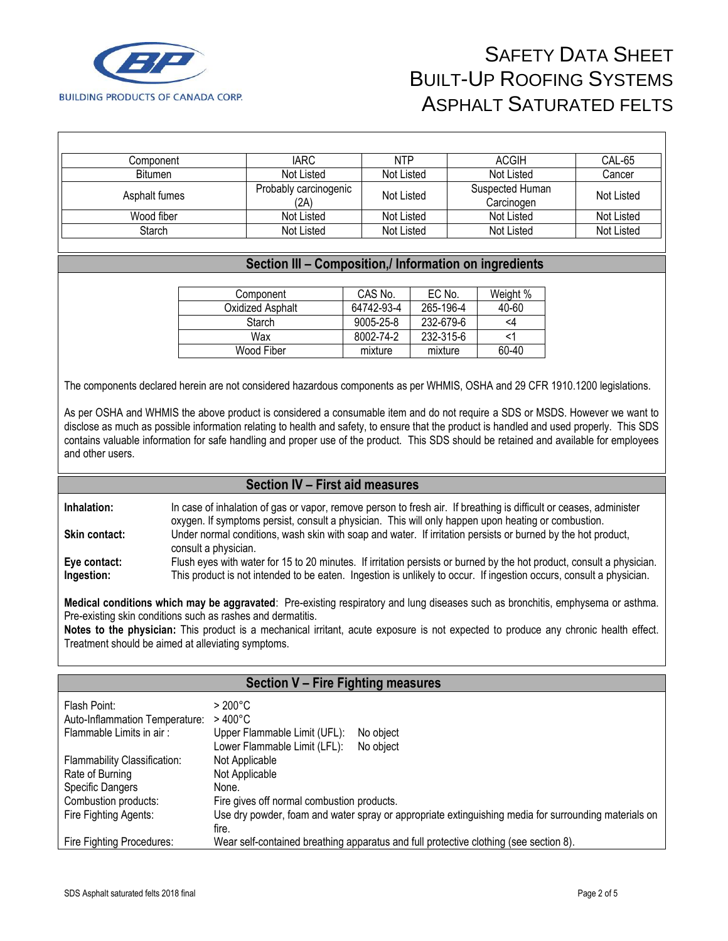

| Component     | IARC                          | <b>NTP</b> | ACGIH                         | CAL-65     |
|---------------|-------------------------------|------------|-------------------------------|------------|
| Bitumen       | Not Listed                    | Not Listed | Not Listed                    | Cancer     |
| Asphalt fumes | Probably carcinogenic<br>(2A) | Not Listed | Suspected Human<br>Carcinogen | Not Listed |
| Wood fiber    | Not Listed                    | Not Listed | Not Listed                    | Not Listed |
| Starch        | Not Listed                    | Not Listed | Not Listed                    | Not Listed |

#### **Section III – Composition,/ Information on ingredients**

| Component        | CAS No.    | EC No.    | Weight % |
|------------------|------------|-----------|----------|
| Oxidized Asphalt | 64742-93-4 | 265-196-4 | 40-60    |
| Starch           | 9005-25-8  | 232-679-6 | <4       |
| Wax              | 8002-74-2  | 232-315-6 |          |
| Wood Fiber       | mixture    | mixture   | 60-40    |

The components declared herein are not considered hazardous components as per WHMIS, OSHA and 29 CFR 1910.1200 legislations.

As per OSHA and WHMIS the above product is considered a consumable item and do not require a SDS or MSDS. However we want to disclose as much as possible information relating to health and safety, to ensure that the product is handled and used properly. This SDS contains valuable information for safe handling and proper use of the product. This SDS should be retained and available for employees and other users.

#### **Section IV – First aid measures**

**Inhalation:** In case of inhalation of gas or vapor, remove person to fresh air. If breathing is difficult or ceases, administer oxygen. If symptoms persist, consult a physician. This will only happen upon heating or combustion. **Skin contact:** Under normal conditions, wash skin with soap and water. If irritation persists or burned by the hot product, consult a physician. **Eye contact:** Flush eyes with water for 15 to 20 minutes. If irritation persists or burned by the hot product, consult a physician.<br>**Ingestion:** This product is not intended to be eaten. Ingestion is unlikely to occur. If This product is not intended to be eaten. Ingestion is unlikely to occur. If ingestion occurs, consult a physician.

**Medical conditions which may be aggravated**: Pre-existing respiratory and lung diseases such as bronchitis, emphysema or asthma. Pre-existing skin conditions such as rashes and dermatitis.

**Notes to the physician:** This product is a mechanical irritant, acute exposure is not expected to produce any chronic health effect. Treatment should be aimed at alleviating symptoms.

| Section V - Fire Fighting measures |                                                                                                      |  |  |
|------------------------------------|------------------------------------------------------------------------------------------------------|--|--|
| Flash Point:                       | $>200^{\circ}$ C                                                                                     |  |  |
| Auto-Inflammation Temperature:     | $>400^{\circ}$ C                                                                                     |  |  |
| Flammable Limits in air:           | Upper Flammable Limit (UFL):<br>No object                                                            |  |  |
|                                    | Lower Flammable Limit (LFL):<br>No object                                                            |  |  |
| Flammability Classification:       | Not Applicable                                                                                       |  |  |
| Rate of Burning                    | Not Applicable                                                                                       |  |  |
| <b>Specific Dangers</b>            | None.                                                                                                |  |  |
| Combustion products:               | Fire gives off normal combustion products.                                                           |  |  |
| Fire Fighting Agents:              | Use dry powder, foam and water spray or appropriate extinguishing media for surrounding materials on |  |  |
|                                    | fire.                                                                                                |  |  |
| Fire Fighting Procedures:          | Wear self-contained breathing apparatus and full protective clothing (see section 8).                |  |  |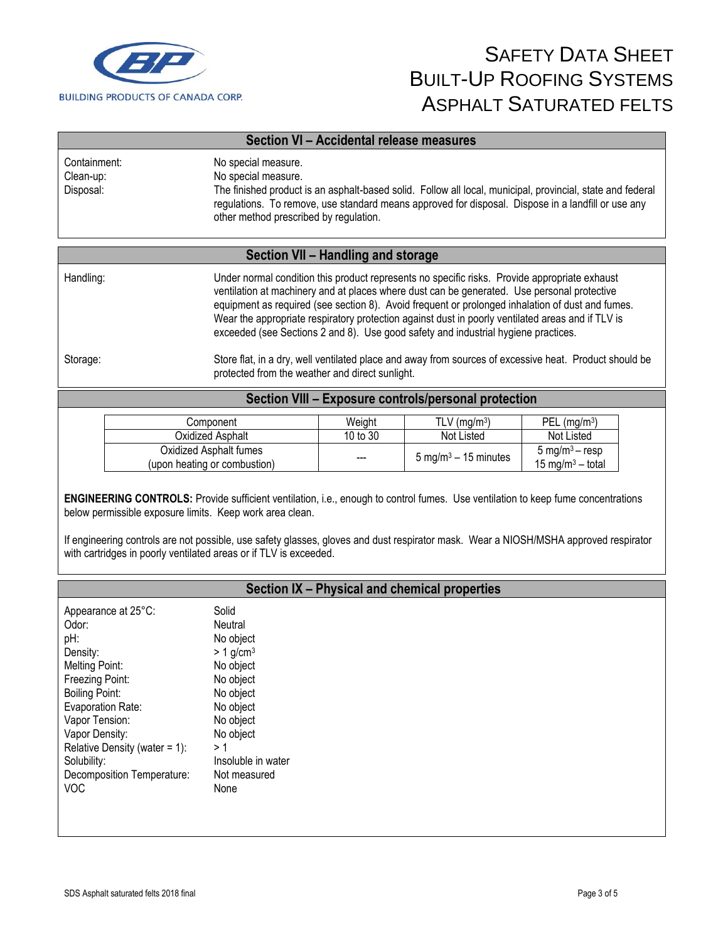

| Section VI - Accidental release measures |                                                                                                                                                                                                                                                                                                          |  |
|------------------------------------------|----------------------------------------------------------------------------------------------------------------------------------------------------------------------------------------------------------------------------------------------------------------------------------------------------------|--|
| Containment:<br>Clean-up:<br>Disposal:   | No special measure.<br>No special measure.<br>The finished product is an asphalt-based solid. Follow all local, municipal, provincial, state and federal<br>regulations. To remove, use standard means approved for disposal. Dispose in a landfill or use any<br>other method prescribed by regulation. |  |

### **Section VII – Handling and storage**

| Handling: | Under normal condition this product represents no specific risks. Provide appropriate exhaust<br>ventilation at machinery and at places where dust can be generated. Use personal protective<br>equipment as required (see section 8). Avoid frequent or prolonged inhalation of dust and fumes.<br>Wear the appropriate respiratory protection against dust in poorly ventilated areas and if TLV is<br>exceeded (see Sections 2 and 8). Use good safety and industrial hygiene practices. |
|-----------|---------------------------------------------------------------------------------------------------------------------------------------------------------------------------------------------------------------------------------------------------------------------------------------------------------------------------------------------------------------------------------------------------------------------------------------------------------------------------------------------|
| Storage:  | Store flat, in a dry, well ventilated place and away from sources of excessive heat. Product should be                                                                                                                                                                                                                                                                                                                                                                                      |

protected from the weather and direct sunlight.

### **Section VIII – Exposure controls/personal protection**

| Component                                              | Weiaht   | TLV (ma/m <sup>3</sup> )                | $PEL$ (ma/m <sup>3</sup> )                                 |
|--------------------------------------------------------|----------|-----------------------------------------|------------------------------------------------------------|
| Oxidized Asphalt_                                      | 10 to 30 | Not Listed                              | Not Listed                                                 |
| Oxidized Asphalt fumes<br>(upon heating or combustion) | $- - -$  | $5 \text{ mg/m}^3 - 15 \text{ minutes}$ | 5 mg/m <sup>3</sup> – resp<br>15 mg/m <sup>3</sup> – total |

**ENGINEERING CONTROLS:** Provide sufficient ventilation, i.e., enough to control fumes. Use ventilation to keep fume concentrations below permissible exposure limits. Keep work area clean.

If engineering controls are not possible, use safety glasses, gloves and dust respirator mask. Wear a NIOSH/MSHA approved respirator with cartridges in poorly ventilated areas or if TLV is exceeded.

|                                                                                                                                                                                                                                                                       | Section IX - Physical and chemical properties                                                                                                                                               |
|-----------------------------------------------------------------------------------------------------------------------------------------------------------------------------------------------------------------------------------------------------------------------|---------------------------------------------------------------------------------------------------------------------------------------------------------------------------------------------|
| Appearance at 25°C:<br>Odor:<br>pH:<br>Density:<br>Melting Point:<br>Freezing Point:<br><b>Boiling Point:</b><br>Evaporation Rate:<br>Vapor Tension:<br>Vapor Density:<br>Relative Density (water = $1$ ):<br>Solubility:<br>Decomposition Temperature:<br><b>VOC</b> | Solid<br>Neutral<br>No object<br>$> 1$ g/cm <sup>3</sup><br>No object<br>No object<br>No object<br>No object<br>No object<br>No object<br>> 1<br>Insoluble in water<br>Not measured<br>None |
|                                                                                                                                                                                                                                                                       |                                                                                                                                                                                             |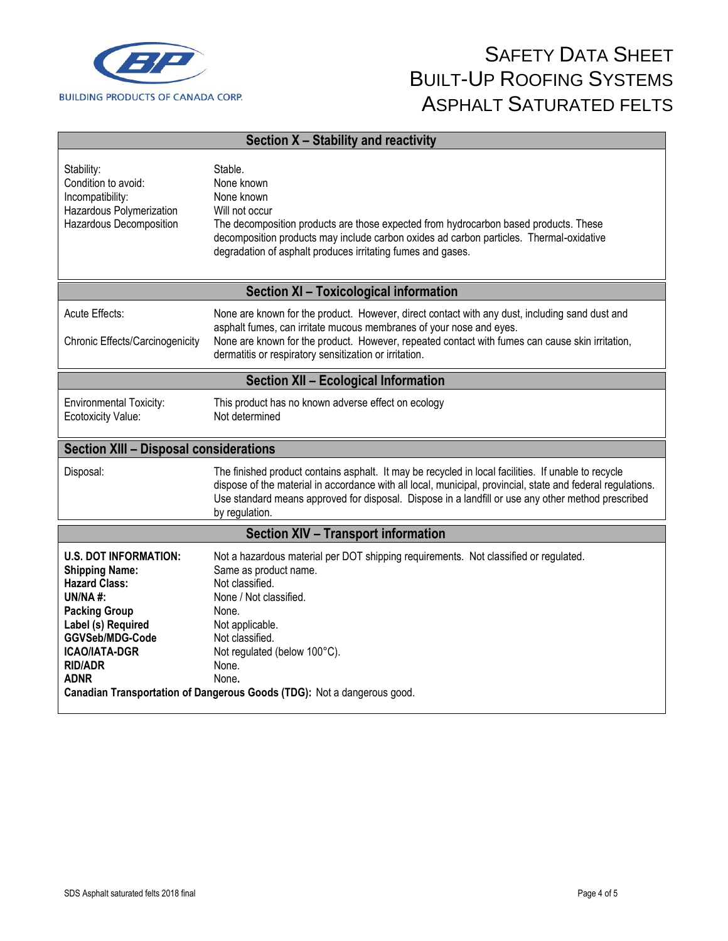

| Section X - Stability and reactivity                                                                                                                                                                               |                                                                                                                                                                                                                                                                                                                                            |  |  |
|--------------------------------------------------------------------------------------------------------------------------------------------------------------------------------------------------------------------|--------------------------------------------------------------------------------------------------------------------------------------------------------------------------------------------------------------------------------------------------------------------------------------------------------------------------------------------|--|--|
| Stability:<br>Condition to avoid:<br>Incompatibility:<br>Hazardous Polymerization<br>Hazardous Decomposition                                                                                                       | Stable.<br>None known<br>None known<br>Will not occur<br>The decomposition products are those expected from hydrocarbon based products. These<br>decomposition products may include carbon oxides ad carbon particles. Thermal-oxidative<br>degradation of asphalt produces irritating fumes and gases.                                    |  |  |
|                                                                                                                                                                                                                    | <b>Section XI - Toxicological information</b>                                                                                                                                                                                                                                                                                              |  |  |
| Acute Effects:<br>Chronic Effects/Carcinogenicity                                                                                                                                                                  | None are known for the product. However, direct contact with any dust, including sand dust and<br>asphalt fumes, can irritate mucous membranes of your nose and eyes.<br>None are known for the product. However, repeated contact with fumes can cause skin irritation,<br>dermatitis or respiratory sensitization or irritation.         |  |  |
| <b>Section XII - Ecological Information</b>                                                                                                                                                                        |                                                                                                                                                                                                                                                                                                                                            |  |  |
| <b>Environmental Toxicity:</b><br>Ecotoxicity Value:                                                                                                                                                               | This product has no known adverse effect on ecology<br>Not determined                                                                                                                                                                                                                                                                      |  |  |
| <b>Section XIII - Disposal considerations</b>                                                                                                                                                                      |                                                                                                                                                                                                                                                                                                                                            |  |  |
| Disposal:                                                                                                                                                                                                          | The finished product contains asphalt. It may be recycled in local facilities. If unable to recycle<br>dispose of the material in accordance with all local, municipal, provincial, state and federal regulations.<br>Use standard means approved for disposal. Dispose in a landfill or use any other method prescribed<br>by regulation. |  |  |
|                                                                                                                                                                                                                    | <b>Section XIV - Transport information</b>                                                                                                                                                                                                                                                                                                 |  |  |
| <b>U.S. DOT INFORMATION:</b><br><b>Shipping Name:</b><br><b>Hazard Class:</b><br><b>UN/NA#:</b><br><b>Packing Group</b><br>Label (s) Required<br>GGVSeb/MDG-Code<br><b>ICAO/IATA-DGR</b><br><b>RID/ADR</b><br>ADNR | Not a hazardous material per DOT shipping requirements. Not classified or regulated.<br>Same as product name.<br>Not classified.<br>None / Not classified.<br>None.<br>Not applicable.<br>Not classified.<br>Not regulated (below 100°C).<br>None.<br>None.<br>Canadian Transportation of Dangerous Goods (TDG): Not a dangerous good.     |  |  |